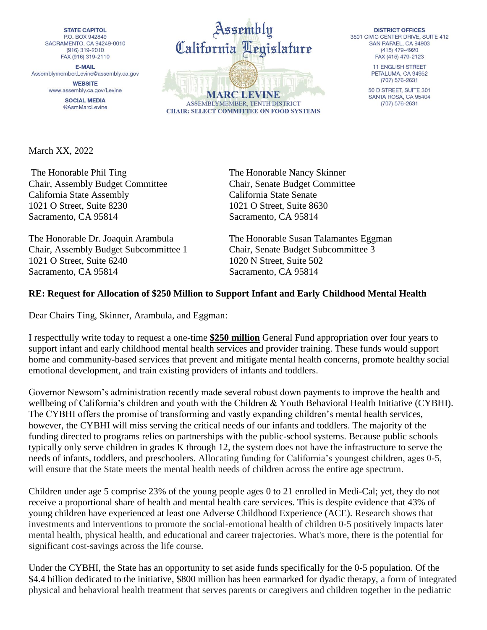**STATE CAPITOL** P.O. BOX 942849 SACRAMENTO, CA 94249-0010 (916) 319-2010 FAX (916) 319-2110

**E-MAIL** Assemblymember.Levine@assembly.ca.gov

> **WEBSITE** www.assembly.ca.gov/Levine

> > **SOCIAL MEDIA** @AsmMarcLevine



**DISTRICT OFFICES** 3501 CIVIC CENTER DRIVE, SUITE 412 SAN RAFAEL, CA 94903 (415) 479-4920 FAX (415) 479-2123

> **11 ENGLISH STREET** PETALUMA, CA 94952  $(707) 576 - 2631$

50 D STREET, SUITE 301 SANTA ROSA, CA 95404 (707) 576-2631

March XX, 2022

The Honorable Phil Ting The Honorable Nancy Skinner Chair, Assembly Budget Committee Chair, Senate Budget Committee California State Assembly California State Senate 1021 O Street, Suite 8230 1021 O Street, Suite 8630 Sacramento, CA 95814 Sacramento, CA 95814

Chair, Assembly Budget Subcommittee 1 Chair, Senate Budget Subcommittee 3 1021 O Street, Suite 6240 1020 N Street, Suite 502 Sacramento, CA 95814 Sacramento, CA 95814

The Honorable Dr. Joaquin Arambula The Honorable Susan Talamantes Eggman

## **RE: Request for Allocation of \$250 Million to Support Infant and Early Childhood Mental Health**

Dear Chairs Ting, Skinner, Arambula, and Eggman:

I respectfully write today to request a one-time **\$250 million** General Fund appropriation over four years to support infant and early childhood mental health services and provider training. These funds would support home and community-based services that prevent and mitigate mental health concerns, promote healthy social emotional development, and train existing providers of infants and toddlers.

Governor Newsom's administration recently made several robust down payments to improve the health and wellbeing of California's children and youth with the Children & Youth Behavioral Health Initiative (CYBHI). The CYBHI offers the promise of transforming and vastly expanding children's mental health services, however, the CYBHI will miss serving the critical needs of our infants and toddlers. The majority of the funding directed to programs relies on partnerships with the public-school systems. Because public schools typically only serve children in grades K through 12, the system does not have the infrastructure to serve the needs of infants, toddlers, and preschoolers. Allocating funding for California's youngest children, ages 0-5, will ensure that the State meets the mental health needs of children across the entire age spectrum.

Children under age 5 comprise 23% of the young people ages 0 to 21 enrolled in Medi-Cal; yet, they do not receive a proportional share of health and mental health care services. This is despite evidence that 43% of young children have experienced at least one Adverse Childhood Experience (ACE). Research shows that investments and interventions to promote the social-emotional health of children 0-5 positively impacts later mental health, physical health, and educational and career trajectories. What's more, there is the potential for significant cost-savings across the life course.

Under the CYBHI, the State has an opportunity to set aside funds specifically for the 0-5 population. Of the \$4.4 billion dedicated to the initiative, \$800 million has been earmarked for dyadic therapy, a form of integrated physical and behavioral health treatment that serves parents or caregivers and children together in the pediatric